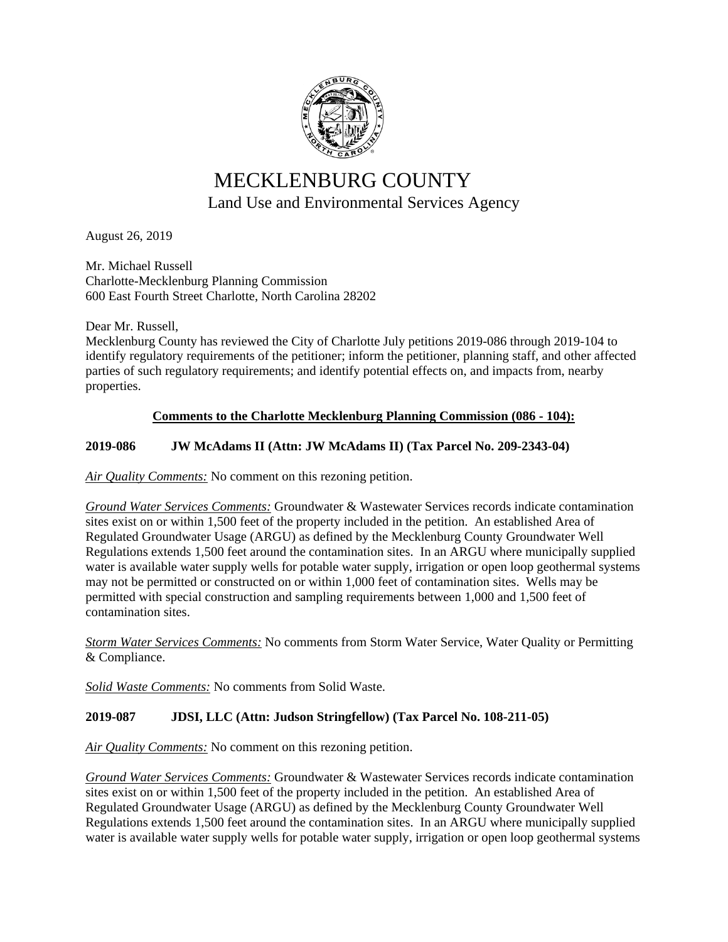

# MECKLENBURG COUNTY Land Use and Environmental Services Agency

August 26, 2019

Mr. Michael Russell Charlotte-Mecklenburg Planning Commission 600 East Fourth Street Charlotte, North Carolina 28202

Dear Mr. Russell,

Mecklenburg County has reviewed the City of Charlotte July petitions 2019-086 through 2019-104 to identify regulatory requirements of the petitioner; inform the petitioner, planning staff, and other affected parties of such regulatory requirements; and identify potential effects on, and impacts from, nearby properties.

## **Comments to the Charlotte Mecklenburg Planning Commission (086 - 104):**

## **2019-086 JW McAdams II (Attn: JW McAdams II) (Tax Parcel No. 209-2343-04)**

*Air Quality Comments:* No comment on this rezoning petition.

*Ground Water Services Comments:* Groundwater & Wastewater Services records indicate contamination sites exist on or within 1,500 feet of the property included in the petition. An established Area of Regulated Groundwater Usage (ARGU) as defined by the Mecklenburg County Groundwater Well Regulations extends 1,500 feet around the contamination sites. In an ARGU where municipally supplied water is available water supply wells for potable water supply, irrigation or open loop geothermal systems may not be permitted or constructed on or within 1,000 feet of contamination sites. Wells may be permitted with special construction and sampling requirements between 1,000 and 1,500 feet of contamination sites.

*Storm Water Services Comments:* No comments from Storm Water Service, Water Quality or Permitting & Compliance.

*Solid Waste Comments:* No comments from Solid Waste.

## **2019-087 JDSI, LLC (Attn: Judson Stringfellow) (Tax Parcel No. 108-211-05)**

*Air Quality Comments:* No comment on this rezoning petition.

*Ground Water Services Comments:* Groundwater & Wastewater Services records indicate contamination sites exist on or within 1,500 feet of the property included in the petition. An established Area of Regulated Groundwater Usage (ARGU) as defined by the Mecklenburg County Groundwater Well Regulations extends 1,500 feet around the contamination sites. In an ARGU where municipally supplied water is available water supply wells for potable water supply, irrigation or open loop geothermal systems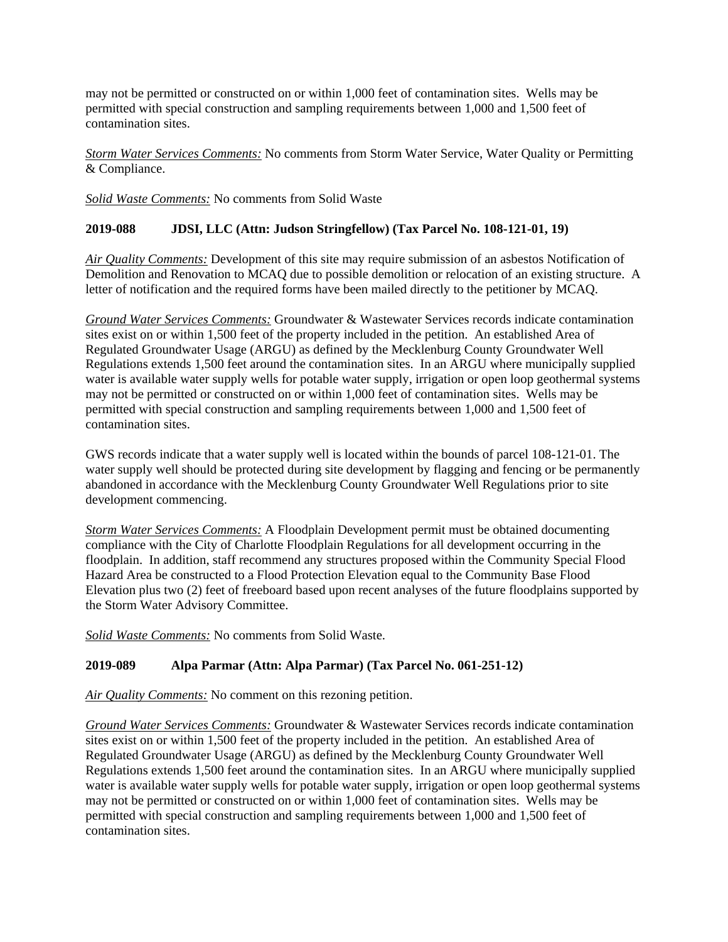may not be permitted or constructed on or within 1,000 feet of contamination sites. Wells may be permitted with special construction and sampling requirements between 1,000 and 1,500 feet of contamination sites.

*Storm Water Services Comments:* No comments from Storm Water Service, Water Quality or Permitting & Compliance.

*Solid Waste Comments:* No comments from Solid Waste

### **2019-088 JDSI, LLC (Attn: Judson Stringfellow) (Tax Parcel No. 108-121-01, 19)**

*Air Quality Comments:* Development of this site may require submission of an asbestos Notification of Demolition and Renovation to MCAQ due to possible demolition or relocation of an existing structure. A letter of notification and the required forms have been mailed directly to the petitioner by MCAQ.

*Ground Water Services Comments:* Groundwater & Wastewater Services records indicate contamination sites exist on or within 1,500 feet of the property included in the petition. An established Area of Regulated Groundwater Usage (ARGU) as defined by the Mecklenburg County Groundwater Well Regulations extends 1,500 feet around the contamination sites. In an ARGU where municipally supplied water is available water supply wells for potable water supply, irrigation or open loop geothermal systems may not be permitted or constructed on or within 1,000 feet of contamination sites. Wells may be permitted with special construction and sampling requirements between 1,000 and 1,500 feet of contamination sites.

GWS records indicate that a water supply well is located within the bounds of parcel 108-121-01. The water supply well should be protected during site development by flagging and fencing or be permanently abandoned in accordance with the Mecklenburg County Groundwater Well Regulations prior to site development commencing.

*Storm Water Services Comments:* A Floodplain Development permit must be obtained documenting compliance with the City of Charlotte Floodplain Regulations for all development occurring in the floodplain. In addition, staff recommend any structures proposed within the Community Special Flood Hazard Area be constructed to a Flood Protection Elevation equal to the Community Base Flood Elevation plus two (2) feet of freeboard based upon recent analyses of the future floodplains supported by the Storm Water Advisory Committee.

*Solid Waste Comments:* No comments from Solid Waste.

## **2019-089 Alpa Parmar (Attn: Alpa Parmar) (Tax Parcel No. 061-251-12)**

*Air Quality Comments:* No comment on this rezoning petition.

*Ground Water Services Comments:* Groundwater & Wastewater Services records indicate contamination sites exist on or within 1,500 feet of the property included in the petition. An established Area of Regulated Groundwater Usage (ARGU) as defined by the Mecklenburg County Groundwater Well Regulations extends 1,500 feet around the contamination sites. In an ARGU where municipally supplied water is available water supply wells for potable water supply, irrigation or open loop geothermal systems may not be permitted or constructed on or within 1,000 feet of contamination sites. Wells may be permitted with special construction and sampling requirements between 1,000 and 1,500 feet of contamination sites.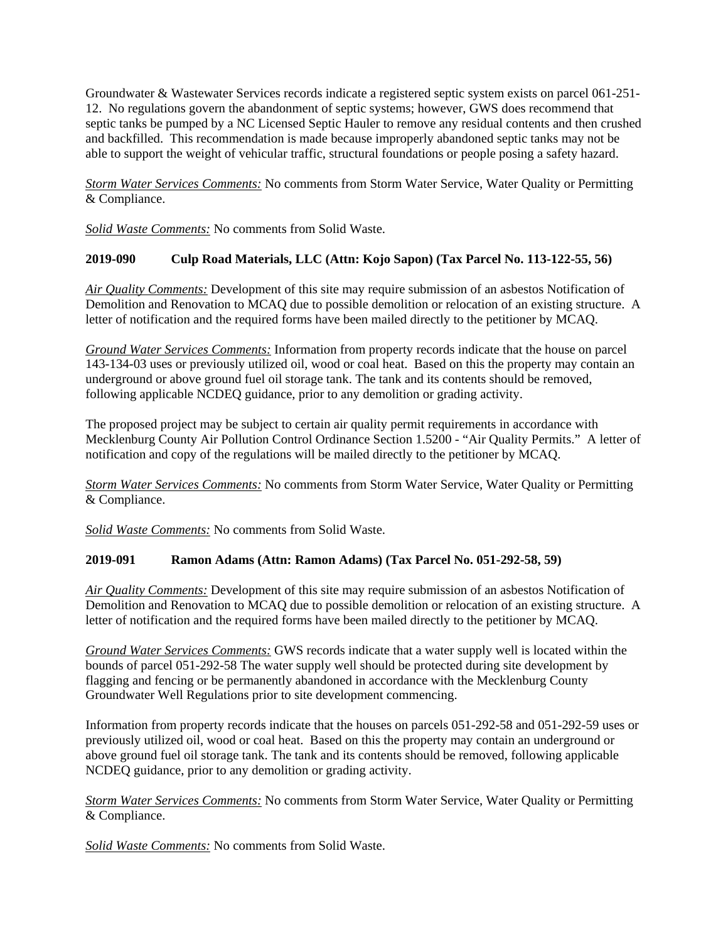Groundwater & Wastewater Services records indicate a registered septic system exists on parcel 061-251- 12. No regulations govern the abandonment of septic systems; however, GWS does recommend that septic tanks be pumped by a NC Licensed Septic Hauler to remove any residual contents and then crushed and backfilled. This recommendation is made because improperly abandoned septic tanks may not be able to support the weight of vehicular traffic, structural foundations or people posing a safety hazard.

*Storm Water Services Comments:* No comments from Storm Water Service, Water Quality or Permitting & Compliance.

*Solid Waste Comments:* No comments from Solid Waste.

## **2019-090 Culp Road Materials, LLC (Attn: Kojo Sapon) (Tax Parcel No. 113-122-55, 56)**

*Air Quality Comments:* Development of this site may require submission of an asbestos Notification of Demolition and Renovation to MCAQ due to possible demolition or relocation of an existing structure. A letter of notification and the required forms have been mailed directly to the petitioner by MCAQ.

*Ground Water Services Comments:* Information from property records indicate that the house on parcel 143-134-03 uses or previously utilized oil, wood or coal heat. Based on this the property may contain an underground or above ground fuel oil storage tank. The tank and its contents should be removed, following applicable NCDEQ guidance, prior to any demolition or grading activity.

The proposed project may be subject to certain air quality permit requirements in accordance with Mecklenburg County Air Pollution Control Ordinance Section 1.5200 - "Air Quality Permits." A letter of notification and copy of the regulations will be mailed directly to the petitioner by MCAQ.

*Storm Water Services Comments:* No comments from Storm Water Service, Water Quality or Permitting & Compliance.

*Solid Waste Comments:* No comments from Solid Waste.

#### **2019-091 Ramon Adams (Attn: Ramon Adams) (Tax Parcel No. 051-292-58, 59)**

*Air Quality Comments:* Development of this site may require submission of an asbestos Notification of Demolition and Renovation to MCAQ due to possible demolition or relocation of an existing structure. A letter of notification and the required forms have been mailed directly to the petitioner by MCAQ.

*Ground Water Services Comments:* GWS records indicate that a water supply well is located within the bounds of parcel 051-292-58 The water supply well should be protected during site development by flagging and fencing or be permanently abandoned in accordance with the Mecklenburg County Groundwater Well Regulations prior to site development commencing.

Information from property records indicate that the houses on parcels 051-292-58 and 051-292-59 uses or previously utilized oil, wood or coal heat. Based on this the property may contain an underground or above ground fuel oil storage tank. The tank and its contents should be removed, following applicable NCDEQ guidance, prior to any demolition or grading activity.

*Storm Water Services Comments:* No comments from Storm Water Service, Water Quality or Permitting & Compliance.

*Solid Waste Comments:* No comments from Solid Waste.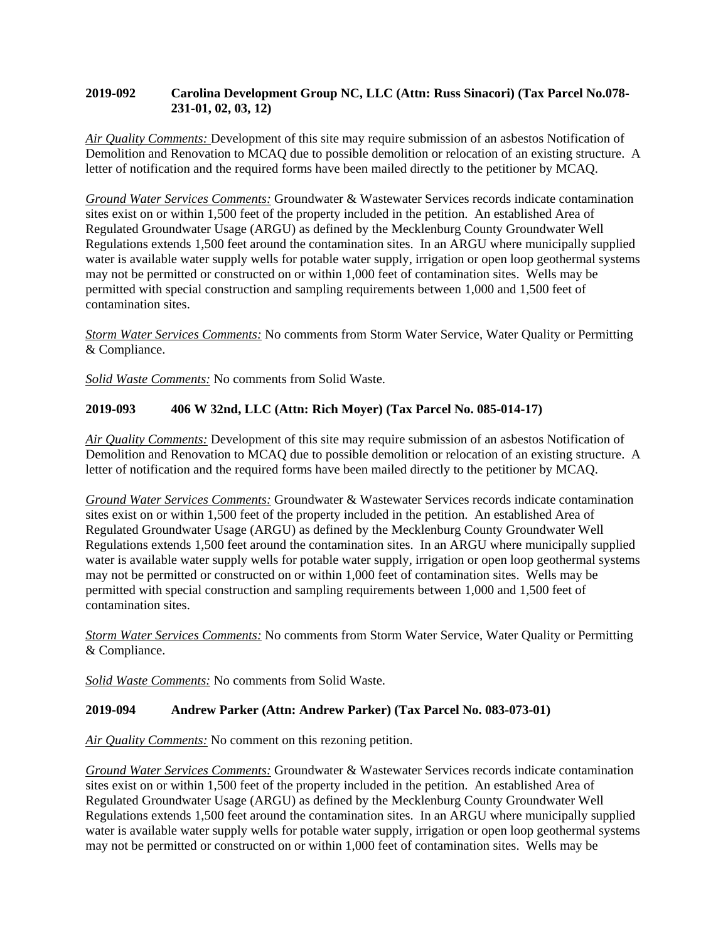#### **2019-092 Carolina Development Group NC, LLC (Attn: Russ Sinacori) (Tax Parcel No.078- 231-01, 02, 03, 12)**

*Air Quality Comments:* Development of this site may require submission of an asbestos Notification of Demolition and Renovation to MCAQ due to possible demolition or relocation of an existing structure. A letter of notification and the required forms have been mailed directly to the petitioner by MCAQ.

*Ground Water Services Comments:* Groundwater & Wastewater Services records indicate contamination sites exist on or within 1,500 feet of the property included in the petition. An established Area of Regulated Groundwater Usage (ARGU) as defined by the Mecklenburg County Groundwater Well Regulations extends 1,500 feet around the contamination sites. In an ARGU where municipally supplied water is available water supply wells for potable water supply, irrigation or open loop geothermal systems may not be permitted or constructed on or within 1,000 feet of contamination sites. Wells may be permitted with special construction and sampling requirements between 1,000 and 1,500 feet of contamination sites.

*Storm Water Services Comments:* No comments from Storm Water Service, Water Quality or Permitting & Compliance.

*Solid Waste Comments:* No comments from Solid Waste.

## **2019-093 406 W 32nd, LLC (Attn: Rich Moyer) (Tax Parcel No. 085-014-17)**

*Air Quality Comments:* Development of this site may require submission of an asbestos Notification of Demolition and Renovation to MCAQ due to possible demolition or relocation of an existing structure. A letter of notification and the required forms have been mailed directly to the petitioner by MCAQ.

*Ground Water Services Comments:* Groundwater & Wastewater Services records indicate contamination sites exist on or within 1,500 feet of the property included in the petition. An established Area of Regulated Groundwater Usage (ARGU) as defined by the Mecklenburg County Groundwater Well Regulations extends 1,500 feet around the contamination sites. In an ARGU where municipally supplied water is available water supply wells for potable water supply, irrigation or open loop geothermal systems may not be permitted or constructed on or within 1,000 feet of contamination sites. Wells may be permitted with special construction and sampling requirements between 1,000 and 1,500 feet of contamination sites.

*Storm Water Services Comments:* No comments from Storm Water Service, Water Quality or Permitting & Compliance.

*Solid Waste Comments:* No comments from Solid Waste.

## **2019-094 Andrew Parker (Attn: Andrew Parker) (Tax Parcel No. 083-073-01)**

*Air Quality Comments:* No comment on this rezoning petition.

*Ground Water Services Comments:* Groundwater & Wastewater Services records indicate contamination sites exist on or within 1,500 feet of the property included in the petition. An established Area of Regulated Groundwater Usage (ARGU) as defined by the Mecklenburg County Groundwater Well Regulations extends 1,500 feet around the contamination sites. In an ARGU where municipally supplied water is available water supply wells for potable water supply, irrigation or open loop geothermal systems may not be permitted or constructed on or within 1,000 feet of contamination sites. Wells may be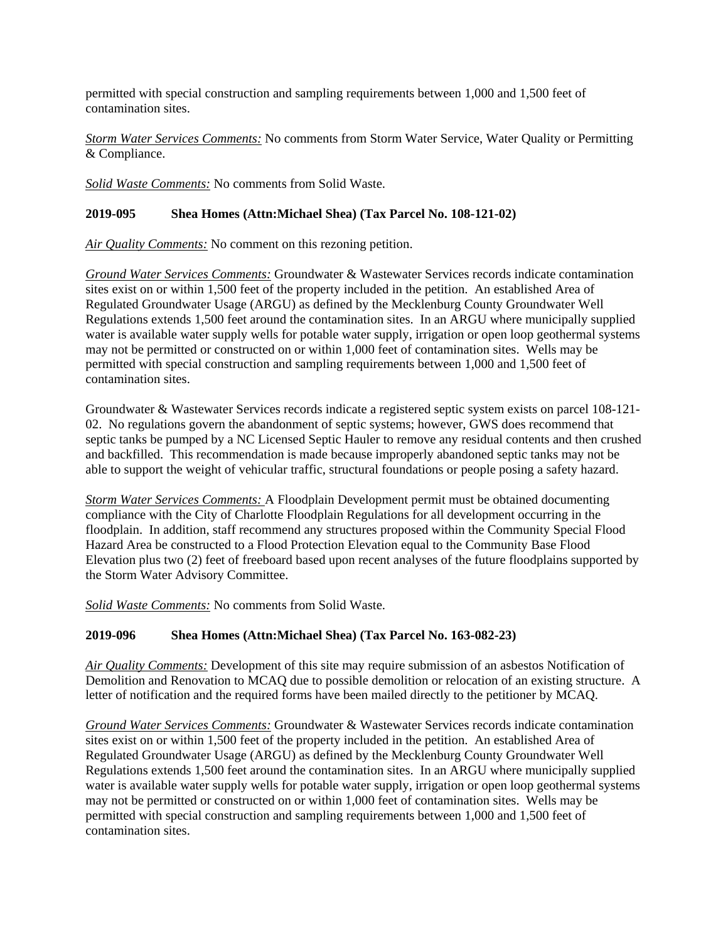permitted with special construction and sampling requirements between 1,000 and 1,500 feet of contamination sites.

*Storm Water Services Comments:* No comments from Storm Water Service, Water Quality or Permitting & Compliance.

*Solid Waste Comments:* No comments from Solid Waste.

#### **2019-095 Shea Homes (Attn:Michael Shea) (Tax Parcel No. 108-121-02)**

*Air Quality Comments:* No comment on this rezoning petition.

*Ground Water Services Comments:* Groundwater & Wastewater Services records indicate contamination sites exist on or within 1,500 feet of the property included in the petition. An established Area of Regulated Groundwater Usage (ARGU) as defined by the Mecklenburg County Groundwater Well Regulations extends 1,500 feet around the contamination sites. In an ARGU where municipally supplied water is available water supply wells for potable water supply, irrigation or open loop geothermal systems may not be permitted or constructed on or within 1,000 feet of contamination sites. Wells may be permitted with special construction and sampling requirements between 1,000 and 1,500 feet of contamination sites.

Groundwater & Wastewater Services records indicate a registered septic system exists on parcel 108-121- 02. No regulations govern the abandonment of septic systems; however, GWS does recommend that septic tanks be pumped by a NC Licensed Septic Hauler to remove any residual contents and then crushed and backfilled. This recommendation is made because improperly abandoned septic tanks may not be able to support the weight of vehicular traffic, structural foundations or people posing a safety hazard.

*Storm Water Services Comments:* A Floodplain Development permit must be obtained documenting compliance with the City of Charlotte Floodplain Regulations for all development occurring in the floodplain. In addition, staff recommend any structures proposed within the Community Special Flood Hazard Area be constructed to a Flood Protection Elevation equal to the Community Base Flood Elevation plus two (2) feet of freeboard based upon recent analyses of the future floodplains supported by the Storm Water Advisory Committee.

*Solid Waste Comments:* No comments from Solid Waste.

## **2019-096 Shea Homes (Attn:Michael Shea) (Tax Parcel No. 163-082-23)**

*Air Quality Comments:* Development of this site may require submission of an asbestos Notification of Demolition and Renovation to MCAQ due to possible demolition or relocation of an existing structure. A letter of notification and the required forms have been mailed directly to the petitioner by MCAQ.

*Ground Water Services Comments:* Groundwater & Wastewater Services records indicate contamination sites exist on or within 1,500 feet of the property included in the petition. An established Area of Regulated Groundwater Usage (ARGU) as defined by the Mecklenburg County Groundwater Well Regulations extends 1,500 feet around the contamination sites. In an ARGU where municipally supplied water is available water supply wells for potable water supply, irrigation or open loop geothermal systems may not be permitted or constructed on or within 1,000 feet of contamination sites. Wells may be permitted with special construction and sampling requirements between 1,000 and 1,500 feet of contamination sites.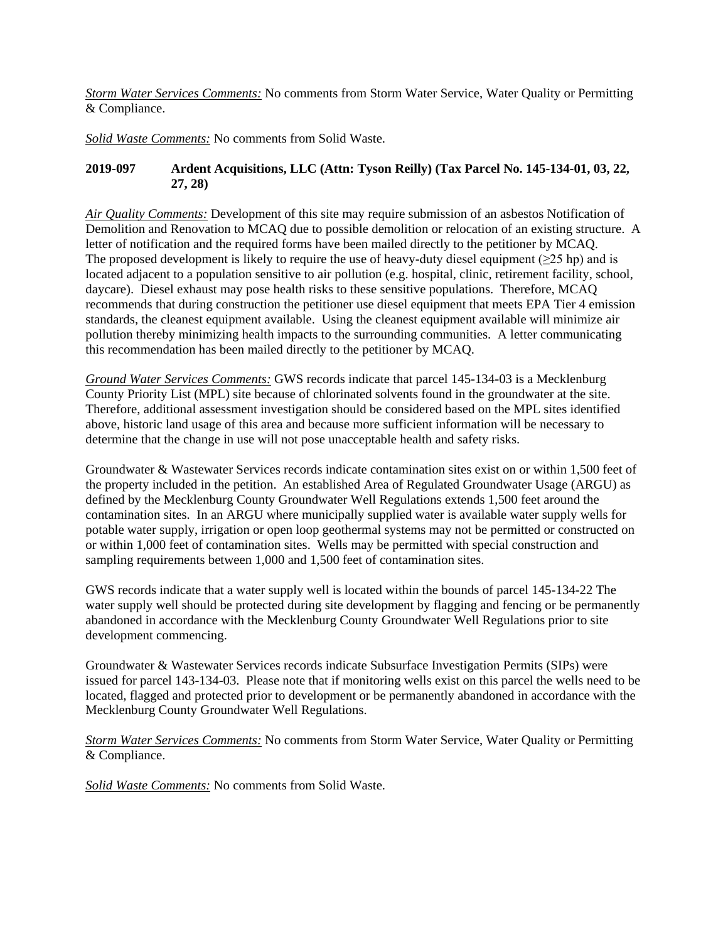*Storm Water Services Comments:* No comments from Storm Water Service, Water Quality or Permitting & Compliance.

*Solid Waste Comments:* No comments from Solid Waste.

#### **2019-097 Ardent Acquisitions, LLC (Attn: Tyson Reilly) (Tax Parcel No. 145-134-01, 03, 22, 27, 28)**

*Air Quality Comments:* Development of this site may require submission of an asbestos Notification of Demolition and Renovation to MCAQ due to possible demolition or relocation of an existing structure. A letter of notification and the required forms have been mailed directly to the petitioner by MCAQ. The proposed development is likely to require the use of heavy-duty diesel equipment ( $\geq 25$  hp) and is located adjacent to a population sensitive to air pollution (e.g. hospital, clinic, retirement facility, school, daycare). Diesel exhaust may pose health risks to these sensitive populations. Therefore, MCAQ recommends that during construction the petitioner use diesel equipment that meets EPA Tier 4 emission standards, the cleanest equipment available. Using the cleanest equipment available will minimize air pollution thereby minimizing health impacts to the surrounding communities. A letter communicating this recommendation has been mailed directly to the petitioner by MCAQ.

*Ground Water Services Comments:* GWS records indicate that parcel 145-134-03 is a Mecklenburg County Priority List (MPL) site because of chlorinated solvents found in the groundwater at the site. Therefore, additional assessment investigation should be considered based on the MPL sites identified above, historic land usage of this area and because more sufficient information will be necessary to determine that the change in use will not pose unacceptable health and safety risks.

Groundwater & Wastewater Services records indicate contamination sites exist on or within 1,500 feet of the property included in the petition. An established Area of Regulated Groundwater Usage (ARGU) as defined by the Mecklenburg County Groundwater Well Regulations extends 1,500 feet around the contamination sites. In an ARGU where municipally supplied water is available water supply wells for potable water supply, irrigation or open loop geothermal systems may not be permitted or constructed on or within 1,000 feet of contamination sites. Wells may be permitted with special construction and sampling requirements between 1,000 and 1,500 feet of contamination sites.

GWS records indicate that a water supply well is located within the bounds of parcel 145-134-22 The water supply well should be protected during site development by flagging and fencing or be permanently abandoned in accordance with the Mecklenburg County Groundwater Well Regulations prior to site development commencing.

Groundwater & Wastewater Services records indicate Subsurface Investigation Permits (SIPs) were issued for parcel 143-134-03. Please note that if monitoring wells exist on this parcel the wells need to be located, flagged and protected prior to development or be permanently abandoned in accordance with the Mecklenburg County Groundwater Well Regulations.

*Storm Water Services Comments:* No comments from Storm Water Service, Water Quality or Permitting & Compliance.

*Solid Waste Comments:* No comments from Solid Waste.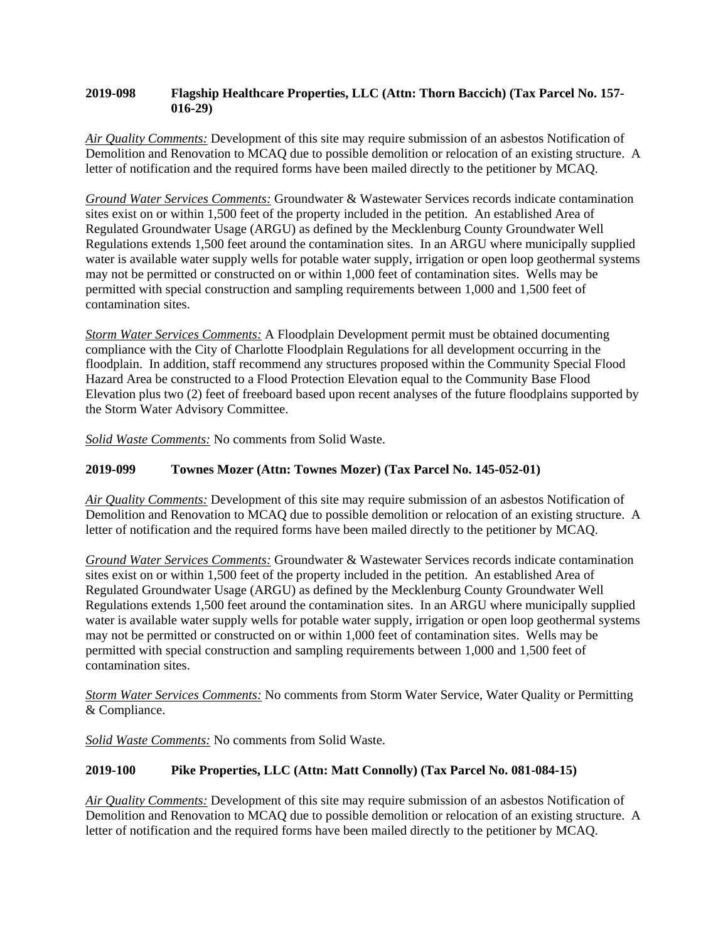#### **2019-098 Flagship Healthcare Properties, LLC (Attn: Thorn Baccich) (Tax Parcel No. 157- 016-29)**

*Air Quality Comments:* Development of this site may require submission of an asbestos Notification of Demolition and Renovation to MCAQ due to possible demolition or relocation of an existing structure. A letter of notification and the required forms have been mailed directly to the petitioner by MCAQ.

*Ground Water Services Comments:* Groundwater & Wastewater Services records indicate contamination sites exist on or within 1,500 feet of the property included in the petition. An established Area of Regulated Groundwater Usage (ARGU) as defined by the Mecklenburg County Groundwater Well Regulations extends 1,500 feet around the contamination sites. In an ARGU where municipally supplied water is available water supply wells for potable water supply, irrigation or open loop geothermal systems may not be permitted or constructed on or within 1,000 feet of contamination sites. Wells may be permitted with special construction and sampling requirements between 1,000 and 1,500 feet of contamination sites.

*Storm Water Services Comments:* A Floodplain Development permit must be obtained documenting compliance with the City of Charlotte Floodplain Regulations for all development occurring in the floodplain. In addition, staff recommend any structures proposed within the Community Special Flood Hazard Area be constructed to a Flood Protection Elevation equal to the Community Base Flood Elevation plus two (2) feet of freeboard based upon recent analyses of the future floodplains supported by the Storm Water Advisory Committee.

*Solid Waste Comments:* No comments from Solid Waste.

## **2019-099 Townes Mozer (Attn: Townes Mozer) (Tax Parcel No. 145-052-01)**

*Air Quality Comments:* Development of this site may require submission of an asbestos Notification of Demolition and Renovation to MCAQ due to possible demolition or relocation of an existing structure. A letter of notification and the required forms have been mailed directly to the petitioner by MCAQ.

*Ground Water Services Comments:* Groundwater & Wastewater Services records indicate contamination sites exist on or within 1,500 feet of the property included in the petition. An established Area of Regulated Groundwater Usage (ARGU) as defined by the Mecklenburg County Groundwater Well Regulations extends 1,500 feet around the contamination sites. In an ARGU where municipally supplied water is available water supply wells for potable water supply, irrigation or open loop geothermal systems may not be permitted or constructed on or within 1,000 feet of contamination sites. Wells may be permitted with special construction and sampling requirements between 1,000 and 1,500 feet of contamination sites.

*Storm Water Services Comments:* No comments from Storm Water Service, Water Quality or Permitting & Compliance.

*Solid Waste Comments:* No comments from Solid Waste.

## **2019-100 Pike Properties, LLC (Attn: Matt Connolly) (Tax Parcel No. 081-084-15)**

*Air Quality Comments:* Development of this site may require submission of an asbestos Notification of Demolition and Renovation to MCAQ due to possible demolition or relocation of an existing structure. A letter of notification and the required forms have been mailed directly to the petitioner by MCAQ.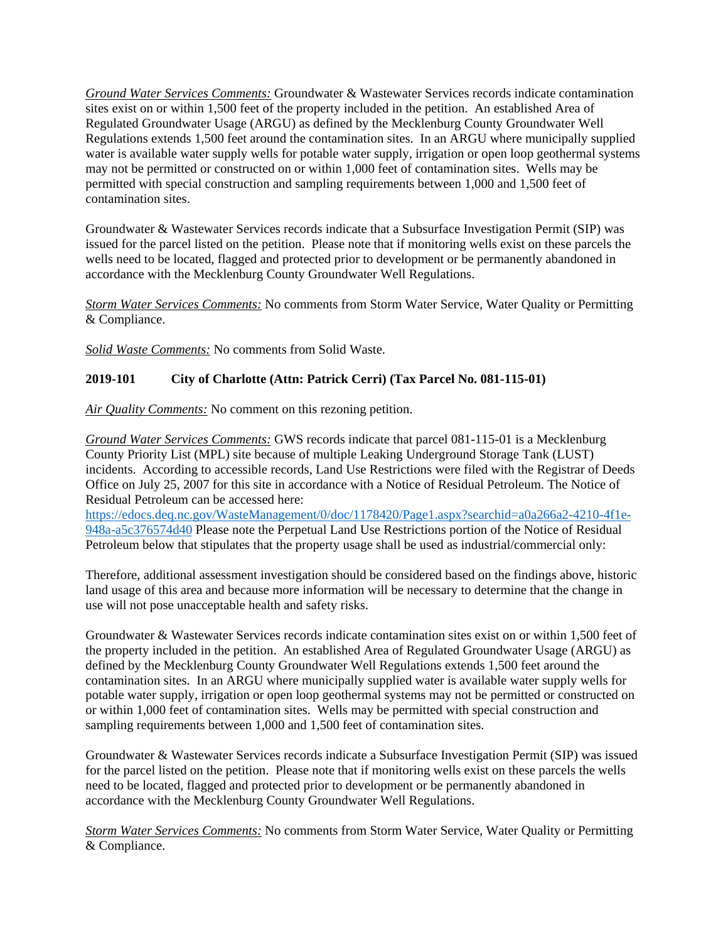*Ground Water Services Comments:* Groundwater & Wastewater Services records indicate contamination sites exist on or within 1,500 feet of the property included in the petition. An established Area of Regulated Groundwater Usage (ARGU) as defined by the Mecklenburg County Groundwater Well Regulations extends 1,500 feet around the contamination sites. In an ARGU where municipally supplied water is available water supply wells for potable water supply, irrigation or open loop geothermal systems may not be permitted or constructed on or within 1,000 feet of contamination sites. Wells may be permitted with special construction and sampling requirements between 1,000 and 1,500 feet of contamination sites.

Groundwater & Wastewater Services records indicate that a Subsurface Investigation Permit (SIP) was issued for the parcel listed on the petition. Please note that if monitoring wells exist on these parcels the wells need to be located, flagged and protected prior to development or be permanently abandoned in accordance with the Mecklenburg County Groundwater Well Regulations.

*Storm Water Services Comments:* No comments from Storm Water Service, Water Quality or Permitting & Compliance.

*Solid Waste Comments:* No comments from Solid Waste.

## **2019-101 City of Charlotte (Attn: Patrick Cerri) (Tax Parcel No. 081-115-01)**

*Air Quality Comments:* No comment on this rezoning petition.

*Ground Water Services Comments:* GWS records indicate that parcel 081-115-01 is a Mecklenburg County Priority List (MPL) site because of multiple Leaking Underground Storage Tank (LUST) incidents. According to accessible records, Land Use Restrictions were filed with the Registrar of Deeds Office on July 25, 2007 for this site in accordance with a Notice of Residual Petroleum. The Notice of Residual Petroleum can be accessed here:

[https://edocs.deq.nc.gov/WasteManagement/0/doc/1178420/Page1.aspx?searchid=a0a266a2-4210-4f1e-](https://edocs.deq.nc.gov/WasteManagement/0/doc/1178420/Page1.aspx?searchid=a0a266a2-4210-4f1e-948a-a5c376574d40)[948a-a5c376574d40](https://edocs.deq.nc.gov/WasteManagement/0/doc/1178420/Page1.aspx?searchid=a0a266a2-4210-4f1e-948a-a5c376574d40) Please note the Perpetual Land Use Restrictions portion of the Notice of Residual Petroleum below that stipulates that the property usage shall be used as industrial/commercial only:

Therefore, additional assessment investigation should be considered based on the findings above, historic land usage of this area and because more information will be necessary to determine that the change in use will not pose unacceptable health and safety risks.

Groundwater & Wastewater Services records indicate contamination sites exist on or within 1,500 feet of the property included in the petition. An established Area of Regulated Groundwater Usage (ARGU) as defined by the Mecklenburg County Groundwater Well Regulations extends 1,500 feet around the contamination sites. In an ARGU where municipally supplied water is available water supply wells for potable water supply, irrigation or open loop geothermal systems may not be permitted or constructed on or within 1,000 feet of contamination sites. Wells may be permitted with special construction and sampling requirements between 1,000 and 1,500 feet of contamination sites.

Groundwater & Wastewater Services records indicate a Subsurface Investigation Permit (SIP) was issued for the parcel listed on the petition. Please note that if monitoring wells exist on these parcels the wells need to be located, flagged and protected prior to development or be permanently abandoned in accordance with the Mecklenburg County Groundwater Well Regulations.

*Storm Water Services Comments:* No comments from Storm Water Service, Water Quality or Permitting & Compliance.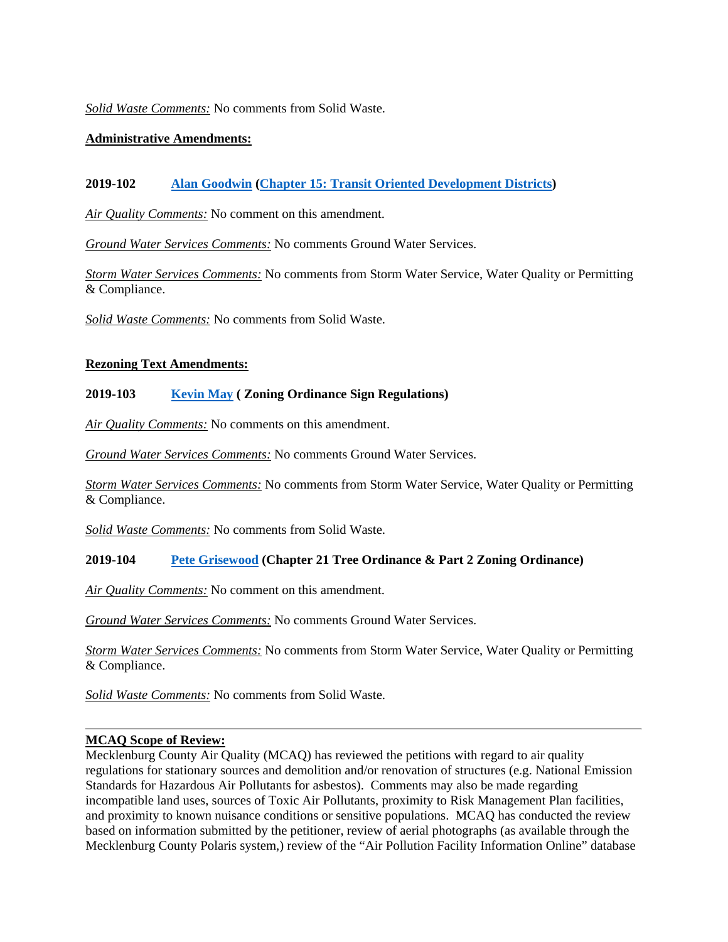*Solid Waste Comments:* No comments from Solid Waste.

#### **Administrative Amendments:**

## **2019-102 [Alan Goodwin](mailto:AGOODWIN@charlottenc.gov?subject=2019-102%20TOD%20Administrative%20Amendment) [\(Chapter 15: Transit Oriented Development Districts\)](https://charlottenc.gov/planning/Rezoning/Pages/Zoning%20Ordinance.aspx)**

*Air Quality Comments:* No comment on this amendment.

*Ground Water Services Comments:* No comments Ground Water Services.

*Storm Water Services Comments:* No comments from Storm Water Service, Water Quality or Permitting & Compliance.

*Solid Waste Comments:* No comments from Solid Waste.

#### **Rezoning Text Amendments:**

#### **2019-103 [Kevin May](mailto:Kevin.May@charlottenc.gov?subject=2019-103%20Text%20Amendment) ( Zoning Ordinance Sign Regulations)**

*Air Quality Comments:* No comments on this amendment.

*Ground Water Services Comments:* No comments Ground Water Services.

*Storm Water Services Comments:* No comments from Storm Water Service, Water Quality or Permitting & Compliance.

*Solid Waste Comments:* No comments from Solid Waste.

## **2019-104 [Pete Grisewood](mailto:Peter.Grisewood@charlottenc.gov?subject=2019-104%20Text%20Amendment) (Chapter 21 Tree Ordinance & Part 2 Zoning Ordinance)**

*Air Quality Comments:* No comment on this amendment.

*Ground Water Services Comments:* No comments Ground Water Services.

*Storm Water Services Comments:* No comments from Storm Water Service, Water Quality or Permitting & Compliance.

*Solid Waste Comments:* No comments from Solid Waste.

#### **MCAQ Scope of Review:**

Mecklenburg County Air Quality (MCAQ) has reviewed the petitions with regard to air quality regulations for stationary sources and demolition and/or renovation of structures (e.g. National Emission Standards for Hazardous Air Pollutants for asbestos). Comments may also be made regarding incompatible land uses, sources of Toxic Air Pollutants, proximity to Risk Management Plan facilities, and proximity to known nuisance conditions or sensitive populations. MCAQ has conducted the review based on information submitted by the petitioner, review of aerial photographs (as available through the Mecklenburg County Polaris system,) review of the "Air Pollution Facility Information Online" database